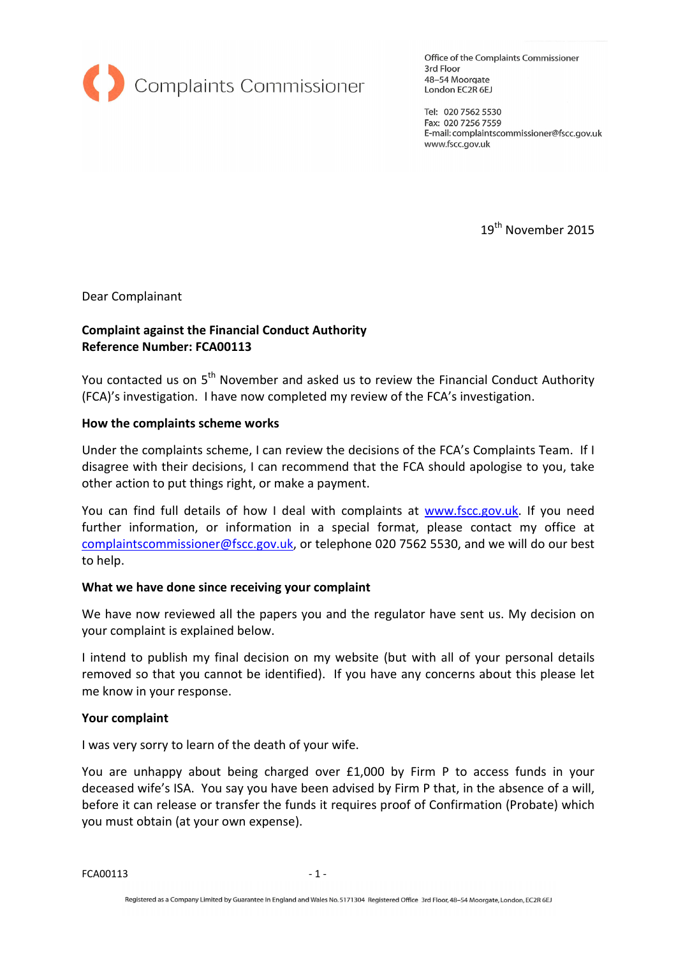

Office of the Complaints Commissioner 3rd Floor 48-54 Moorgate London EC2R 6EJ

Tel: 020 7562 5530 Fax: 020 7256 7559 E-mail: complaintscommissioner@fscc.gov.uk www.fscc.gov.uk

19<sup>th</sup> November 2015

Dear Complainant

# Complaint against the Financial Conduct Authority Reference Number: FCA00113

You contacted us on 5<sup>th</sup> November and asked us to review the Financial Conduct Authority (FCA)'s investigation. I have now completed my review of the FCA's investigation.

#### How the complaints scheme works

Under the complaints scheme, I can review the decisions of the FCA's Complaints Team. If I disagree with their decisions, I can recommend that the FCA should apologise to you, take other action to put things right, or make a payment.

You can find full details of how I deal with complaints at www.fscc.gov.uk. If you need further information, or information in a special format, please contact my office at complaintscommissioner@fscc.gov.uk, or telephone 020 7562 5530, and we will do our best to help.

### What we have done since receiving your complaint

We have now reviewed all the papers you and the regulator have sent us. My decision on your complaint is explained below.

I intend to publish my final decision on my website (but with all of your personal details removed so that you cannot be identified). If you have any concerns about this please let me know in your response.

#### Your complaint

I was very sorry to learn of the death of your wife.

You are unhappy about being charged over £1,000 by Firm P to access funds in your deceased wife's ISA. You say you have been advised by Firm P that, in the absence of a will, before it can release or transfer the funds it requires proof of Confirmation (Probate) which you must obtain (at your own expense).

FCA00113 - 1 -